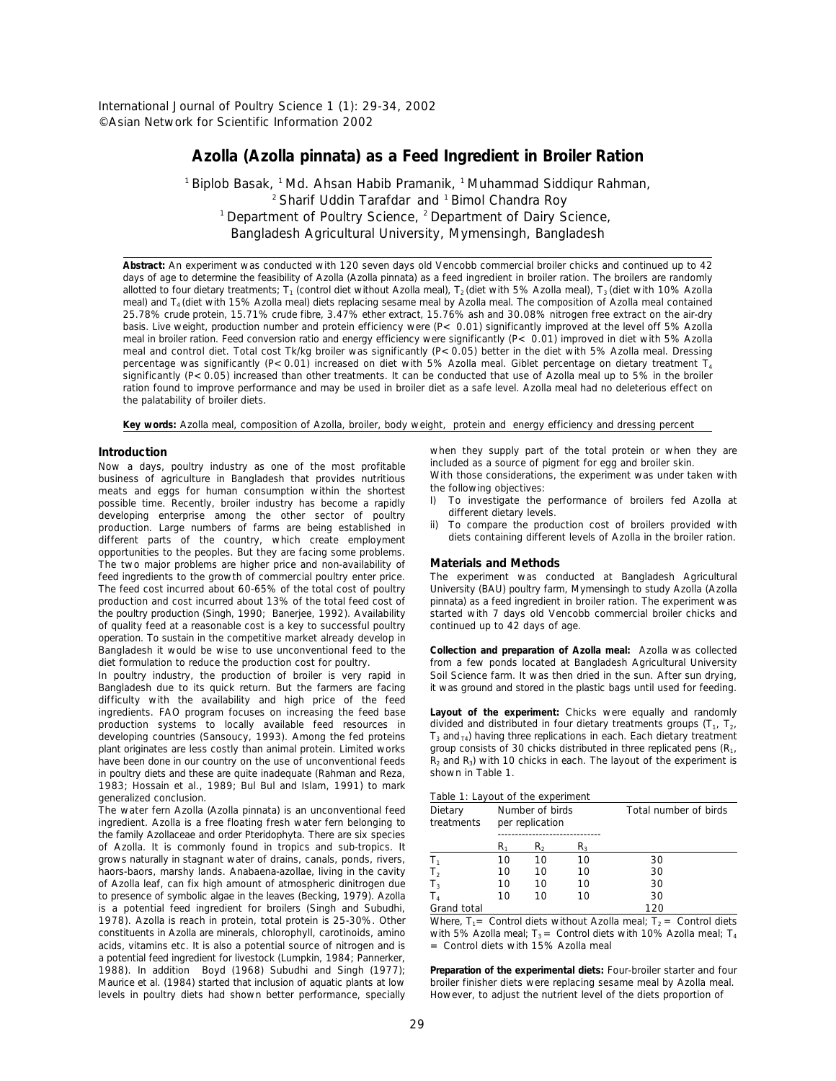International Journal of Poultry Science 1 (1): 29-34, 2002 © Asian Network for Scientific Information 2002

# **Azolla (***Azolla pinnata***) as a Feed Ingredient in Broiler Ration**

 $1$ Biplob Basak,  $1$ Md. Ahsan Habib Pramanik,  $1$  Muhammad Siddiqur Rahman,  $2$  Sharif Uddin Tarafdar and  $1$  Bimol Chandra Roy <sup>1</sup> Department of Poultry Science,  $2$  Department of Dairy Science, Bangladesh Agricultural University, Mymensingh, Bangladesh

**Abstract:** An experiment was conducted with 120 seven days old Vencobb commercial broiler chicks and continued up to 42 days of age to determine the feasibility of Azolla (*Azolla pinnata*) as a feed ingredient in broiler ration. The broilers are randomly allotted to four dietary treatments; T<sub>1</sub> (control diet without Azolla meal), T<sub>2</sub> (diet with 5% Azolla meal), T<sub>3</sub> (diet with 10% Azolla meal) and T<sub>4</sub> (diet with 15% Azolla meal) diets replacing sesame meal by Azolla meal. The composition of Azolla meal contained 25.78% crude protein, 15.71% crude fibre, 3.47% ether extract, 15.76% ash and 30.08% nitrogen free extract on the air-dry basis. Live weight, production number and protein efficiency were (P< 0.01) significantly improved at the level off 5% Azolla meal in broiler ration. Feed conversion ratio and energy efficiency were significantly (P< 0.01) improved in diet with 5% Azolla meal and control diet. Total cost Tk/kg broiler was significantly (P<0.05) better in the diet with 5% Azolla meal. Dressing percentage was significantly (P<0.01) increased on diet with 5% Azolla meal. Giblet percentage on dietary treatment  $T_4$ significantly (P<0.05) increased than other treatments. It can be conducted that use of Azolla meal up to 5% in the broiler ration found to improve performance and may be used in broiler diet as a safe level. Azolla meal had no deleterious effect on the palatability of broiler diets.

**Key words:** Azolla meal, composition of Azolla, broiler, body weight, protein and energy efficiency and dressing percent

### **Introduction**

Now a days, poultry industry as one of the most profitable business of agriculture in Bangladesh that provides nutritious meats and eggs for human consumption within the shortest possible time. Recently, broiler industry has become a rapidly developing enterprise among the other sector of poultry production. Large numbers of farms are being established in different parts of the country, which create employment opportunities to the peoples. But they are facing some problems. The two major problems are higher price and non-availability of feed ingredients to the growth of commercial poultry enter price. The experiment was conducted at Bangladesh Agricultural The feed cost incurred about 60-65% of the total cost of poultry University (BAU) poultry farm, Mymensingh to study Azolla (Azolla (Azolla production and cost incurred about 13% of the total feed cost of pinnata) as a feed production and cost incurred about 13% of the total feed cost of *pinnata*) as a feed ingredient in broiler ration. The experiment was the poultry production (Singh, 1990; Banerjee, 1992). Availability of quality feed at a reasonable cost is a key to successful poultry continued up to 42 days of age. operation. To sustain in the competitive market already develop in Bangladesh it would be wise to use unconventional feed to the **Collection and preparation of Azolla meal:** Azolla was collected

In poultry industry, the production of broiler is very rapid in Bangladesh due to its quick return. But the farmers are facing it was ground and stored in the plastic bags until used for feeding. difficulty with the availability and high price of the feed ingredients. FAO program focuses on increasing the feed base **Layout of the experiment:** Chicks were equally and randomly production systems to locally available feed resources in developing countries (Sansoucy, 1993). Among the fed proteins plant originates are less costly than animal protein. Limited works have been done in our country on the use of unconventional feeds in poultry diets and these are quite inadequate (Rahman and Reza, 1983; Hossain *et al*., 1989; Bul Bul and Islam, 1991) to mark generalized conclusion.

The water fern Azolla (*Azolla pinnata*) is an unconventional feed ingredient. Azolla is a free floating fresh water fern belonging to the family Azollaceae and order Pteridophyta. There are six species of Azolla. It is commonly found in tropics and sub-tropics. It grows naturally in stagnant water of drains, canals, ponds, rivers, haors-baors, marshy lands. Anabaena-azollae, living in the cavity of Azolla leaf, can fix high amount of atmospheric dinitrogen due to presence of symbolic algae in the leaves (Becking, 1979). Azolla is a potential feed ingredient for broilers (Singh and Subudhi, 1978). Azolla is reach in protein, total protein is 25-30%. Other constituents in Azolla are minerals, chlorophyll, carotinoids, amino acids, vitamins etc. It is also a potential source of nitrogen and is a potential feed ingredient for livestock (Lumpkin, 1984; Pannerker, 1988). In addition Boyd (1968) Subudhi and Singh (1977); Maurice *et al.* (1984) started that inclusion of aquatic plants at low broiler finisher diets were replacing sesame meal by Azolla mear-<br>levels in poultry diets had shown better performance, specially However, to adjust t levels in poultry diets had shown better performance, specially

when they supply part of the total protein or when they are included as a source of pigment for egg and broiler skin.

With those considerations, the experiment was under taken with the following objectives:

- I) To investigate the performance of broilers fed Azolla at different dietary levels.
- ii) To compare the production cost of broilers provided with diets containing different levels of Azolla in the broiler ration.

# **Materials and Methods**

from a few ponds located at Bangladesh Agricultural University<br>Soil Science farm. It was then dried in the sun. After sun drying,

divided and distributed in four dietary treatments groups  $(T_1, T_2, T_3)$  $T_3$  and  $T_4$ ) having three replications in each. Each dietary treatment group consists of 30 chicks distributed in three replicated pens  $(R_1, R_2)$  $R_2$  and  $R_3$ ) with 10 chicks in each. The layout of the experiment is shown in Table 1.

| rapid it. East of the experiment |    |                                    |    |                       |
|----------------------------------|----|------------------------------------|----|-----------------------|
| Dietary<br>treatments            |    | Number of birds<br>per replication |    | Total number of birds |
|                                  |    |                                    |    |                       |
|                                  | R٠ | R,                                 | R٠ |                       |
| $T_{1}$                          | 10 | 10                                 | 10 | 30                    |
| T <sub>2</sub>                   | 10 | 10                                 | 10 | 30                    |
| $T_3$                            | 10 | 10                                 | 10 | 30                    |
| T <sub>4</sub>                   | 10 | 10                                 | 10 | 30                    |
| Grand total                      |    |                                    |    | 120                   |

Where,  $T_1$  = Control diets without Azolla meal;  $T_2$  = Control diets with 5% Azolla meal;  $T_3$  = Control diets with 10% Azolla meal;  $T_4$ = Control diets with 15% Azolla meal

Preparation of the experimental diets: Four-broiler starter and four<br>broiler finisher diets were replacing sesame meal by Azolla meal.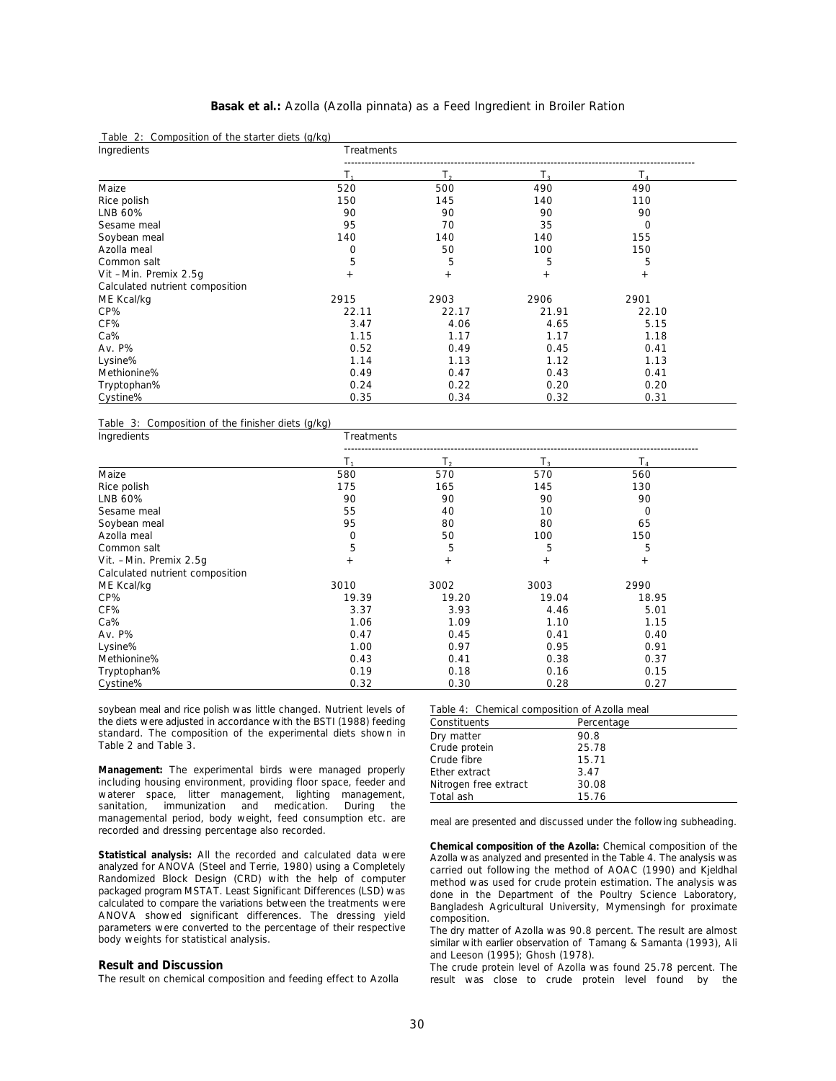# **Basak** *et al***.:** Azolla (*Azolla pinnata*) as a Feed Ingredient in Broiler Ration

|  | Table 2: Composition of the starter diets (g/kg) |  |  |
|--|--------------------------------------------------|--|--|
|  |                                                  |  |  |

| Ingredients                     | Treatments |        |                |                |  |
|---------------------------------|------------|--------|----------------|----------------|--|
|                                 |            | Т.     | T <sub>2</sub> | $\mathsf{T}_4$ |  |
| Maize                           | 520        | 500    | 490            | 490            |  |
| Rice polish                     | 150        | 145    | 140            | 110            |  |
| LNB 60%                         | 90         | 90     | 90             | 90             |  |
| Sesame meal                     | 95         | 70     | 35             | 0              |  |
| Soybean meal                    | 140        | 140    | 140            | 155            |  |
| Azolla meal                     | 0          | 50     | 100            | 150            |  |
| Common salt                     | 5          | 5      | 5              | 5              |  |
| Vit -Min. Premix 2.5g           | $^{+}$     | $^{+}$ | $^{+}$         | $^{+}$         |  |
| Calculated nutrient composition |            |        |                |                |  |
| ME Kcal/kg                      | 2915       | 2903   | 2906           | 2901           |  |
| CP%                             | 22.11      | 22.17  | 21.91          | 22.10          |  |
| CF%                             | 3.47       | 4.06   | 4.65           | 5.15           |  |
| Ca%                             | 1.15       | 1.17   | 1.17           | 1.18           |  |
| Av. P%                          | 0.52       | 0.49   | 0.45           | 0.41           |  |
| Lysine%                         | 1.14       | 1.13   | 1.12           | 1.13           |  |
| Methionine%                     | 0.49       | 0.47   | 0.43           | 0.41           |  |
| Tryptophan%                     | 0.24       | 0.22   | 0.20           | 0.20           |  |
| Cystine%                        | 0.35       | 0.34   | 0.32           | 0.31           |  |

Table 3: Composition of the finisher diets (g/kg)

| Ingredients                     | Treatments |       |        |        |  |  |
|---------------------------------|------------|-------|--------|--------|--|--|
|                                 |            | T,    | $T_3$  | T,     |  |  |
| Maize                           | 580        | 570   | 570    | 560    |  |  |
| Rice polish                     | 175        | 165   | 145    | 130    |  |  |
| LNB 60%                         | 90         | 90    | 90     | 90     |  |  |
| Sesame meal                     | 55         | 40    | 10     | 0      |  |  |
| Soybean meal                    | 95         | 80    | 80     | 65     |  |  |
| Azolla meal                     | 0          | 50    | 100    | 150    |  |  |
| Common salt                     | 5          | 5     | 5      | 5      |  |  |
| Vit. - Min. Premix 2.5q         | $+$        | $+$   | $^{+}$ | $^{+}$ |  |  |
| Calculated nutrient composition |            |       |        |        |  |  |
| ME Kcal/kg                      | 3010       | 3002  | 3003   | 2990   |  |  |
| CP%                             | 19.39      | 19.20 | 19.04  | 18.95  |  |  |
| CF%                             | 3.37       | 3.93  | 4.46   | 5.01   |  |  |
| Ca%                             | 1.06       | 1.09  | 1.10   | 1.15   |  |  |
| Av. P%                          | 0.47       | 0.45  | 0.41   | 0.40   |  |  |
| Lysine%                         | 1.00       | 0.97  | 0.95   | 0.91   |  |  |
| Methionine%                     | 0.43       | 0.41  | 0.38   | 0.37   |  |  |
| Tryptophan%                     | 0.19       | 0.18  | 0.16   | 0.15   |  |  |
| Cystine%                        | 0.32       | 0.30  | 0.28   | 0.27   |  |  |

soybean meal and rice polish was little changed. Nutrient levels of the diets were adjusted in accordance with the BSTI (1988) feeding standard. The composition of the experimental diets shown in Table 2 and Table 3.

**Management:** The experimental birds were managed properly including housing environment, providing floor space, feeder and waterer space, litter management, lighting management, sanitation, immunization and medication. During the managemental period, body weight, feed consumption etc. are recorded and dressing percentage also recorded.

**Statistical analysis:** All the recorded and calculated data were analyzed for ANOVA (Steel and Terrie, 1980) using a Completely Randomized Block Design (CRD) with the help of computer packaged program MSTAT. Least Significant Differences (LSD) was calculated to compare the variations between the treatments were ANOVA showed significant differences. The dressing yield parameters were converted to the percentage of their respective body weights for statistical analysis.

#### **Result and Discussion**

The result on chemical composition and feeding effect to Azolla

| Table 4: Chemical composition of Azolla meal |            |  |  |  |  |  |
|----------------------------------------------|------------|--|--|--|--|--|
| Constituents                                 | Percentage |  |  |  |  |  |
| Dry matter                                   | 90.8       |  |  |  |  |  |
| Crude protein                                | 25.78      |  |  |  |  |  |
| Crude fibre                                  | 15.71      |  |  |  |  |  |
| Ether extract                                | 3.47       |  |  |  |  |  |
| Nitrogen free extract                        | 30.08      |  |  |  |  |  |
| Total ash                                    | 15.76      |  |  |  |  |  |

meal are presented and discussed under the following subheading.

**Chemical composition of the Azolla:** Chemical composition of the Azolla was analyzed and presented in the Table 4. The analysis was carried out following the method of AOAC (1990) and Kjeldhal method was used for crude protein estimation. The analysis was done in the Department of the Poultry Science Laboratory, Bangladesh Agricultural University, Mymensingh for proximate composition.

The dry matter of Azolla was 90.8 percent. The result are almost similar with earlier observation of Tamang & Samanta (1993), Ali and Leeson (1995); Ghosh (1978).

The crude protein level of Azolla was found 25.78 percent. The result was close to crude protein level found by the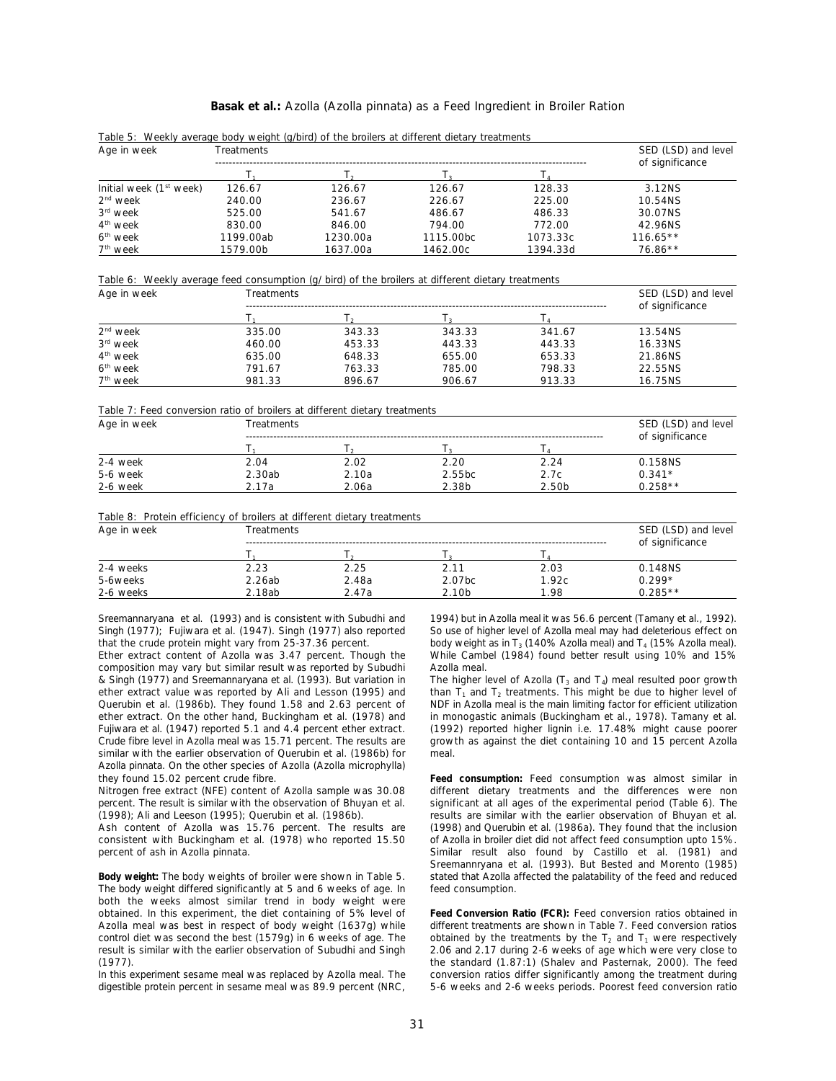## **Basak** *et al***.:** Azolla (*Azolla pinnata*) as a Feed Ingredient in Broiler Ration

| Age in week                         | <b>Treatments</b> | SED (LSD) and level<br>of significance |           |          |            |
|-------------------------------------|-------------------|----------------------------------------|-----------|----------|------------|
|                                     |                   |                                        |           |          |            |
| Initial week (1 <sup>st</sup> week) | 126.67            | 126.67                                 | 126.67    | 128.33   | 3.12NS     |
| $2nd$ week                          | 240.00            | 236.67                                 | 226.67    | 225.00   | 10.54NS    |
| 3 <sup>rd</sup> week                | 525.00            | 541.67                                 | 486.67    | 486.33   | 30.07NS    |
| 4 <sup>th</sup> week                | 830.00            | 846.00                                 | 794.00    | 772.00   | 42.96NS    |
| 6 <sup>th</sup> week                | 1199.00ab         | 1230.00a                               | 1115.00bc | 1073.33c | $116.65**$ |
| 7 <sup>th</sup> week                | 1579.00b          | 1637.00a                               | 1462.00c  | 1394.33d | $76.86**$  |

Table 5: Weekly average body weight (g/bird) of the broilers at different dietary treatments

Table 6: Weekly average feed consumption (g/ bird) of the broilers at different dietary treatments

| Age in week          | Treatments |        |        |        |                 |  |  |
|----------------------|------------|--------|--------|--------|-----------------|--|--|
|                      |            |        |        |        | of significance |  |  |
| $2nd$ week           | 335.00     | 343.33 | 343.33 | 341.67 | 13.54NS         |  |  |
| 3 <sup>rd</sup> week | 460.00     | 453.33 | 443.33 | 443.33 | 16.33NS         |  |  |
| 4 <sup>th</sup> week | 635.00     | 648.33 | 655.00 | 653.33 | 21.86NS         |  |  |
| 6 <sup>th</sup> week | 791.67     | 763.33 | 785.00 | 798.33 | 22.55NS         |  |  |
| 7 <sup>th</sup> week | 981.33     | 896.67 | 906.67 | 913.33 | 16.75NS         |  |  |

Table 7: Feed conversion ratio of broilers at different dietary treatments

| Age in week | Treatments | SED (LSD) and level<br>of significance |        |       |           |
|-------------|------------|----------------------------------------|--------|-------|-----------|
|             |            |                                        |        |       |           |
| 2-4 week    | 2.04       | 2.02                                   | 2.20   | 2.24  | 0.158NS   |
| 5-6 week    | 2.30ab     | 2.10a                                  | 2.55bc | 2.7c  | $0.341*$  |
| 2-6 week    | ∵17a       | 2.06a                                  | 2.38b  | 2.50b | $0.258**$ |

Table 8: Protein efficiency of broilers at different dietary treatments

| Age in week | Treatments | SED (LSD) and level<br>of significance |                    |       |           |
|-------------|------------|----------------------------------------|--------------------|-------|-----------|
|             |            |                                        |                    |       |           |
| 2-4 weeks   | 2.23       | 2.25                                   | 2.11               | 2.03  | 0.148NS   |
| 5-6weeks    | 2.26ab     | 2.48a                                  | 2.07 <sub>bc</sub> | 1.92c | $0.299*$  |
| 2-6 weeks   | 2.18ab     | 2.47a                                  | 2.10 <sub>b</sub>  | 1.98  | $0.285**$ |

Sreemannaryana *et al*. (1993) and is consistent with Subudhi and 1994) but in Azolla meal it was 56.6 percent (Tamany *et al*., 1992). that the crude protein might vary from 25-37.36 percent. body weight as in  $T_3$  (140% Azolla meal) and  $T_4$  (15% Azolla meal).

composition may vary but similar result was reported by Subudhi Azolla meal. & Singh (1977) and Sreemannaryana *et al.* (1993). But variation in The higher level of Azolla (T<sub>3</sub> and T<sub>4</sub>) meal resulted poor growth ether extract value was reported by Ali and Lesson (1995) and Querubin *et al.* (1986b). They found 1.58 and 2.63 percent of NDF in Azolla meal is the main limiting factor for efficient utilization ether extract. On the other hand, Buckingham *et al*. (1978) and in monogastic animals (Buckingham *et al*., 1978). Tamany *et al*. Crude fibre level in Azolla meal was 15.71 percent. The results are growth as against the diet containing 10 and 15 percent Azolla similar with the earlier observation of Querubin *et al*. (1986b) for meal. *Azolla pinnata*. On the other species of Azolla (*Azolla microphylla*)

Nitrogen free extract (NFE) content of Azolla sample was 30.08 percent. The result is similar with the observation of Bhuyan *et al*. significant at all ages of the experimental period (Table 6). The (1998); Ali and Leeson (1995); Querubin *et al*. (1986b). results are similar with the earlier observation of Bhuyan *et al*.

consistent with Buckingham *et al.* (1978) who reported 15.50

The body weight differed significantly at 5 and 6 weeks of age. In feed consumption. both the weeks almost similar trend in body weight were obtained. In this experiment, the diet containing of 5% level of **Feed Conversion Ratio (FCR):** Feed conversion ratios obtained in Azolla meal was best in respect of body weight (1637g) while different treatments are shown in Table 7. Feed conversion ratios control diet was second the best (1579g) in 6 weeks of age. The result is similar with the earlier observation of Subudhi and Singh 2.06 and 2.17 during 2-6 weeks of age which were very close to

In this experiment sesame meal was replaced by Azolla meal. The digestible protein percent in sesame meal was 89.9 percent (NRC, 5-6 weeks and 2-6 weeks periods. Poorest feed conversion ratio

Singh (1977); Fujiwara et al. (1947). Singh (1977) also reported So use of higher level of Azolla meal may had deleterious effect on Ether extract content of Azolla was 3.47 percent. Though the While Cambel (1984) found better result using 10% and 15%

> (1992) reported higher lignin i.e. 17.48% might cause poorer than  $T_1$  and  $T_2$  treatments. This might be due to higher level of

they found 15.02 percent crude fibre.<br>
Nitrogen free extract (NFE) content of Azolla sample was 30.08 different dietary treatments and the differences were non Ash content of Azolla was 15.76 percent. The results are (1998) and Querubin *et al.* (1986a). They found that the inclusion consistent with Buckingham *et al.* (1978) who reported 15.50 of Azolla in broiler diet did not a percent of ash in *Azolla pinnata*. Similar result also found by Castillo *et al*. (1981) and **Body weight:** The body weights of broiler were shown in Table 5. stated that Azolla affected the palatability of the feed and reduced Sreemannryana *et al*. (1993). But Bested and Morento (1985)

(1977). the standard (1.87:1) (Shalev and Pasternak, 2000). The feed obtained by the treatments by the  $T_2$  and  $T_1$  were respectively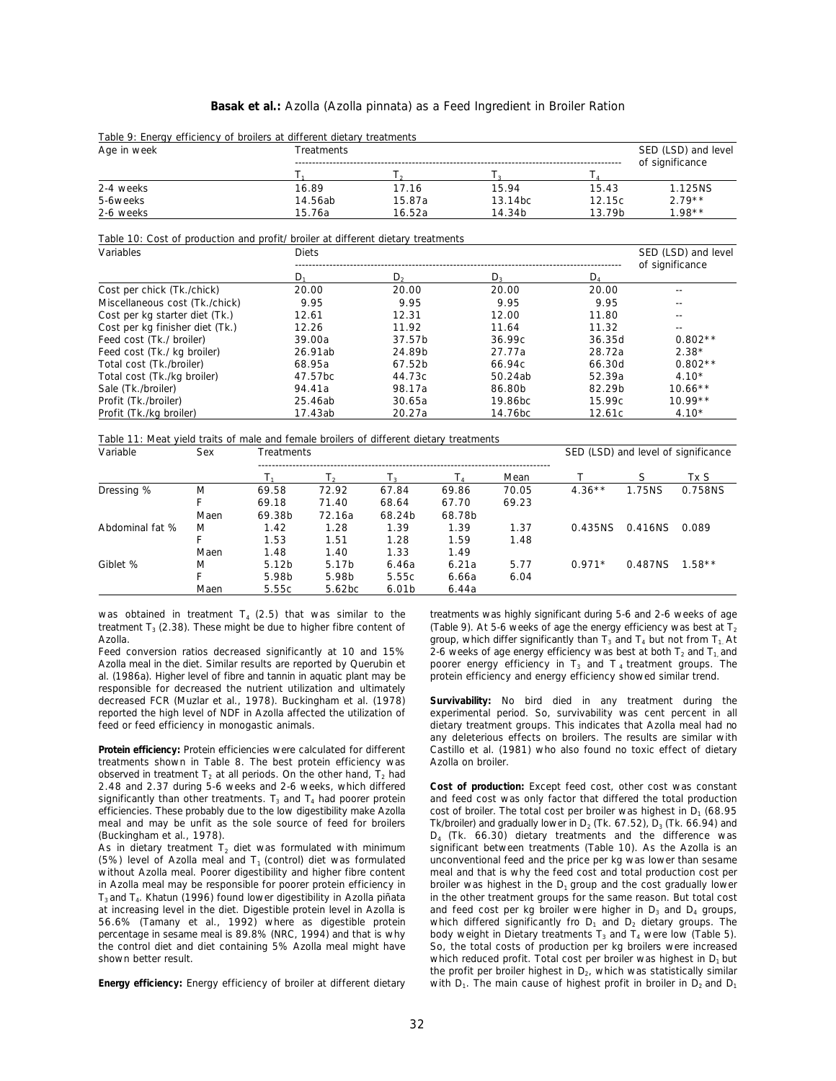# **Basak** *et al***.:** Azolla (*Azolla pinnata*) as a Feed Ingredient in Broiler Ration

| Age in week                                                                      | Treatments |         |         |                            |                                        |  |
|----------------------------------------------------------------------------------|------------|---------|---------|----------------------------|----------------------------------------|--|
|                                                                                  | Ъ.         | Т.      | T,      | $T_{\scriptscriptstyle A}$ | of significance                        |  |
| 2-4 weeks                                                                        | 16.89      | 17.16   | 15.94   | 15.43                      | 1.125NS                                |  |
| 5-6weeks                                                                         | 14.56ab    | 15.87a  | 13.14bc | 12.15c                     | $2.79**$                               |  |
| 2-6 weeks                                                                        | 15.76a     | 16.52a  | 14.34b  | 13.79b                     | $1.98**$                               |  |
| Table 10: Cost of production and profit/ broiler at different dietary treatments |            |         |         |                            |                                        |  |
| Variables                                                                        | Diets      |         |         |                            | SED (LSD) and level<br>of significance |  |
|                                                                                  | D,         | $D_{2}$ | $D_3$   | $D_4$                      |                                        |  |
| Cost per chick (Tk./chick)                                                       | 20.00      | 20.00   | 20.00   | 20.00                      |                                        |  |
| Miscellaneous cost (Tk./chick)                                                   | 9.95       | 9.95    | 9.95    | 9.95                       | ۰.                                     |  |
| Cost per kg starter diet (Tk.)                                                   | 12.61      | 12.31   | 12.00   | 11.80                      |                                        |  |
| Cost per kg finisher diet (Tk.)                                                  | 12.26      | 11.92   | 11.64   | 11.32                      | $- -$                                  |  |
| Feed cost (Tk./ broiler)                                                         | 39.00a     | 37.57b  | 36.99c  | 36.35d                     | $0.802**$                              |  |
| Feed cost (Tk./ kg broiler)                                                      | 26.91ab    | 24.89b  | 27.77a  | 28.72a                     | $2.38*$                                |  |
| Total cost (Tk./broiler)                                                         | 68.95a     | 67.52b  | 66.94c  | 66.30d                     | $0.802**$                              |  |
| Total cost (Tk./kg broiler)                                                      | 47.57bc    | 44.73c  | 50.24ab | 52.39a                     | $4.10*$                                |  |
| Sale (Tk./broiler)                                                               | 94.41a     | 98.17a  | 86.80b  | 82.29b                     | $10.66**$                              |  |
| Profit (Tk./broiler)                                                             | 25.46ab    | 30.65a  | 19.86bc | 15.99c                     | $10.99**$                              |  |

# Table 9: Energy efficiency of broilers at different dietary treatments

Profit (Tk./kg broiler) 17.43ab 20.27a 14.76bc 12.61c 4.10\*

Table 11: Meat yield traits of male and female broilers of different dietary treatments

| Variable        | Sex  | Treatments        |                    |                   |        |       | SED (LSD) and level of significance |         |          |
|-----------------|------|-------------------|--------------------|-------------------|--------|-------|-------------------------------------|---------|----------|
|                 |      |                   | I۰                 | T,                | L۸     | Mean  |                                     | S       | Tx S     |
| Dressing %      | M    | 69.58             | 72.92              | 67.84             | 69.86  | 70.05 | $4.36**$                            | 1.75NS  | 0.758NS  |
|                 |      | 69.18             | 71.40              | 68.64             | 67.70  | 69.23 |                                     |         |          |
|                 | Maen | 69.38b            | 72.16a             | 68.24b            | 68.78b |       |                                     |         |          |
| Abdominal fat % | M    | 1.42              | 1.28               | 1.39              | 1.39   | 1.37  | 0.435NS                             | 0.416NS | 0.089    |
|                 |      | 1.53              | 1.51               | 1.28              | 1.59   | 1.48  |                                     |         |          |
|                 | Maen | 1.48              | 1.40               | 1.33              | 1.49   |       |                                     |         |          |
| Giblet %        | M    | 5.12 <sub>b</sub> | 5.17b              | 6.46a             | 6.21a  | 5.77  | $0.971*$                            | 0.487NS | $1.58**$ |
|                 |      | 5.98b             | 5.98b              | 5.55c             | 6.66a  | 6.04  |                                     |         |          |
|                 | Maen | 5.55c             | 5.62 <sub>bc</sub> | 6.01 <sub>b</sub> | 6.44a  |       |                                     |         |          |

was obtained in treatment  $T_4$  (2.5) that was similar to the treatments was highly significant during 5-6 and 2-6 weeks of age treatment  $T_3$  (2.38). These might be due to higher fibre content of

Feed conversion ratios decreased significantly at 10 and 15% *al*. (1986a). Higher level of fibre and tannin in aquatic plant may be protein efficiency and energy efficiency showed similar trend. responsible for decreased the nutrient utilization and ultimately decreased FCR (Muzlar et al., 1978). Buckingham et al. (1978) reported the high level of NDF in Azolla affected the utilization of experimental period. So, survivability was cent percent in all feed or feed efficiency in monogastic animals. dietary treatment groups. This indicates that Azolla meal had no

treatments shown in Table 8. The best protein efficiency was observed in treatment  $T_2$  at all periods. On the other hand,  $T_2$  had 2.48 and 2.37 during 5-6 weeks and 2-6 weeks, which differed **Cost of production:** Except feed cost, other cost was constant efficiencies. These probably due to the low digestibility make Azolla meal and may be unfit as the sole source of feed for broilers

in Azolla meal may be responsible for poorer protein efficiency in broiler was highest in the  $D_1$  group and the cost gradually lower at increasing level in the diet. Digestible protein level in Azolla is and feed cost per kg broiler were higher in D<sub>3</sub> and D<sub>4</sub> groups, 56.6% (Tamany et al., 1992) where as digestible protein which differed significantly fro D<sub>1</sub> and D<sub>2</sub> dietary groups. The percentage in sesame meal is 89.8% (NRC, 1994) and that is why body weight in Dietary treatments T<sub>3</sub> and T<sub>4</sub> were low (Table 5).

**Energy efficiency:** Energy efficiency of broiler at different dietary

Azolla.  $\blacksquare$  and  $\blacksquare$  and  $\blacksquare$  and  $\blacksquare$  and  $\blacksquare$  and  $\blacksquare$  and  $\blacksquare$  and  $\blacksquare$  and  $\blacksquare$  and  $\blacksquare$  and  $\blacksquare$  and  $\blacksquare$  and  $\blacksquare$  and  $\blacksquare$  and  $\blacksquare$  and  $\blacksquare$  and  $\blacksquare$  and  $\blacksquare$  and  $\blacksquare$  and  $\blacks$ Azolla meal in the diet. Similar results are reported by Querubin *et* poorer energy efficiency in T<sub>3</sub> and T<sub>4</sub> treatment groups. The (Table 9). At 5-6 weeks of age the energy efficiency was best at  $T_2$ 2-6 weeks of age energy efficiency was best at both  $T_2$  and  $T_1$  and

Survivability: No bird died in any treatment during the **Protein efficiency:** Protein efficiencies were calculated for different Castillo *et al.* (1981) who also found no toxic effect of dietary treatments shown in Table 8. The best protein efficiency was Azolla on broiler. any deleterious effects on broilers. The results are similar with

significantly than other treatments.  $T_3$  and  $T_4$  had poorer protein and feed cost was only factor that differed the total production (Buckingham *et al.*, 1978). The contract of the contract of the difference was contracted by  $D_4$  (Tk. 66.30) dietary treatments and the difference was As in dietary treatment T<sub>2</sub> diet was formulated with minimum significant between treatments (Table 10). As the Azolla is an (5%) level of Azolla meal and  $T_1$  (control) diet was formulated unconventional feed and the price per kg was lower than sesame without Azolla meal. Poorer digestibility and higher fibre content meal and that is why the meal and that is why the feed cost and total production cost per T<sub>3</sub> and T<sub>4</sub>. Khatun (1996) found lower digestibility in *Azolla piñata* in the other treatment groups for the same reason. But total cost at increasing level in the diet. Digestible protein level in *Azolla* is and feed the control diet and diet containing 5% Azolla meal might have So, the total costs of production per kg broilers were increased shown better result.  $D_1$  but which reduced profit. Total cost per broiler was highest in  $D_1$  but cost of broiler. The total cost per broiler was highest in  $D_1$  (68.95 Tk/broiler) and gradually lower in  $D_2$  (Tk. 67.52),  $D_3$  (Tk. 66.94) and the profit per broiler highest in  $D_2$ , which was statistically similar with  $D_1$ . The main cause of highest profit in broiler in  $D_2$  and  $D_1$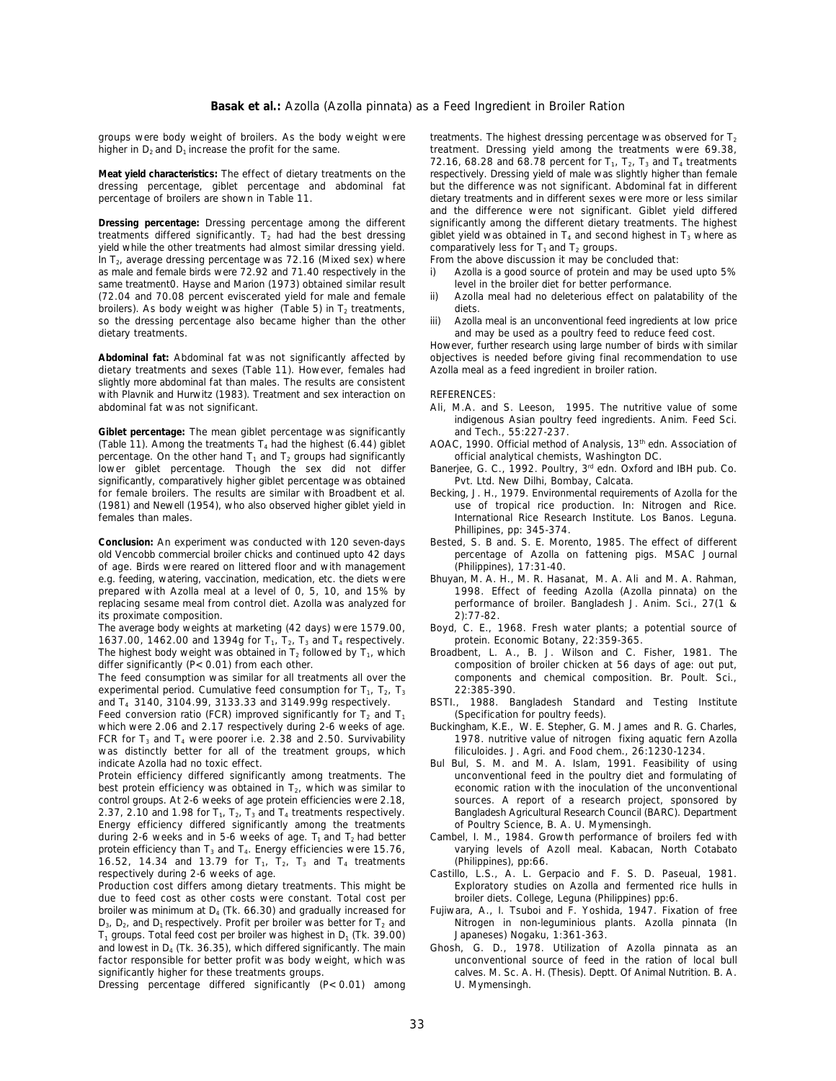groups were body weight of broilers. As the body weight were higher in  $D_2$  and  $D_1$  increase the profit for the same.

dressing percentage, giblet percentage and abdominal fat percentage of broilers are shown in Table 11.

treatments differed significantly.  $T_2$  had had the best dressing yield while the other treatments had almost similar dressing yield. comparatively less for T<sub>1</sub> and T<sub>2</sub> groups.<br>In T<sub>2</sub>, average dressing percentage was 72.16 (Mixed sex) where From the above discussion it may be conclud In  $T_2$ , average dressing percentage was 72.16 (Mixed sex) where as male and female birds were 72.92 and 71.40 respectively in the same treatment0. Hayse and Marion (1973) obtained similar result (72.04 and 70.08 percent eviscerated vield for male and female. broilers). As body weight was higher (Table 5) in  $T_2$  treatments, diets.<br>so the dressing percentage also became higher than the other iii) Azolla meal is an unconventional feed ingredients at low price so the dressing percentage also became higher than the other dietary treatments.

dietary treatments and sexes (Table 11). However, females had slightly more abdominal fat than males. The results are consistent with Plavnik and Hurwitz (1983). Treatment and sex interaction on REFERENCES:<br>abdominal fat was not significant. Ali, M.A. and

**Giblet percentage:** The mean giblet percentage was significantly and Tech., 55:227-237.<br>(Table 11). Among the treatments T<sub>4</sub> had the highest (6.44) giblet AOAC, 1990. Official method (Table 11). Among the treatments T<sub>4</sub> had the highest (6.44) giblet AOAC, 1990. Official method of Analysis, 13<sup>th</sup> edn. Association of percentage. On the other hand  $T_1$  and  $T_2$  groups had significantly official analytical chemists, Washington DC.<br>Iower giblet percentage. Though the sex did not differ Baneriee, G. C., 1992. Poultry, 3<sup>rd</sup> edn. Oxford lower giblet percentage. Though the sex did not differ Banerjee, G.C., 1992. Poultry, 3<sup>rd</sup>edn. Oxford and IBH pub. Co. significantly, comparatively higher giblet percentage was obtained Pvt. Ltd. New Dilhi, Bombay, Calcata.<br>For female broilers. The results are similar with Broadbent *et al.* Becking, J. H., 1979. Environmental requirer  $(1981)$  and Newell  $(1954)$ , who also observed higher giblet yield in females than males. International Rice Research Institute. Los Banos. Leguna.

**Conclusion:** An experiment was conducted with 120 seven-days Bested, S. B and. S. E. Morento, 1985. The effect of different old Vencobb commercial broiler chicks and continued upto 42 days percentage of Azolla on fattenin of age. Birds were reared on littered floor and with management (Philippines), 17:31-40.<br>e.g. feeding, watering, vaccination, medication, etc. the diets were Bhuyan, M. A. H., M. R. Hasanat, M. A. Ali and M. A. Rahman, e.g. feeding, watering, vaccination, medication, etc. the diets were Bhuyan, M. A. H., M. R. Hasanat, M. A. Ali and M. A. Rahman, prepared with Azolla meal at a level of 0, 5, 10, and 15% by 1998. Effect of feeding Azolla prepared with Azolla meal at a level of 0, 5, 10, and 15% by 1998. Effect of feeding Azolla (*Azolla pinnata*) on the<br>1998. Effect of feeding Azolla pinnata) on the replacing session of the replacing sessione meal from con replacing sesame meal from control diet. Azolla was analyzed for performance performance of broadesh J. Anim. Sci., 21:77-82. its proximate composition.<br>The average body weights at marketing (42 days) were 1579.00,

1637.00, 1462.00 and 1394g for  $T_1$ ,  $T_2$ ,  $T_3$  and  $T_4$  respectively. protein. Economic Botany, 22:359-365.<br>The highest body weight was obtained in T<sub>2</sub> followed by T<sub>1</sub>, which Broadbent, L. A., B. J. Wilson and C. F The highest body weight was obtained in  $T_2$  followed by  $T_1$ , which differ significantly (P<0.01) from each other.

The feed consumption was similar for all treatments all over the components and components and chemical components and chemical components and chemical components and chemical components and chemical components are expect experimental period. Cumulative feed consumption for  $T_1$ ,  $T_2$ ,  $T_3$  and  $T_4$  3140, 3104.99, 3133.33 and 3149.99q respectively.

Feed conversion ratio (FCR) improved significantly for  $T_2$  and  $T_1$  which were 2.06 and 2.17 respectively during 2-6 weeks of age. FCR for  $T_3$  and  $T_4$  were poorer i.e. 2.38 and 2.50. Survivability 1978. nutritive value of nitrogen fixing aquatic fern was distinctly better for all of the treatment groups, which  $T_1$  filiculoides. J. Agri. and Foo was distinctly better for all of the treatment groups, which indicate Azolla had no toxic effect.

best protein efficiency was obtained in T<sub>2</sub>, which was similar to economic ration with the inoculation of the unconventional control groups. At 2-6 weeks of age protein efficiencies were 2.18, sources. A report of a resea control groups. At 2-6 weeks of age protein efficiencies were 2.18, sources. A report of a research project, sponsored by  $2.37$ ,  $2.10$  and  $1.98$  for  $T_1$ ,  $T_2$ ,  $T_3$  and  $T_4$  treatments respectively. Bangladesh Agr 2.37, 2.10 and 1.98 for  $T_1$ ,  $T_2$ ,  $T_3$  and  $T_4$  treatments respectively. Bangladesh Agricultural Research Council (B<br>Energy efficiency differed significantly among the treatments of Poultry Science, B. A. U. Mymensi Energy efficiency differed significantly among the treatments during 2-6 weeks and in 5-6 weeks of age.  $T_1$  and  $T_2$  had better protein efficiency than T<sub>3</sub> and T<sub>4</sub>. Energy efficiencies were 15.76, varying levels of A<br>16.52, 14.34 and 13.79 for T<sub>1</sub>, T<sub>2</sub>, T<sub>3</sub> and T<sub>4</sub> treatments (Philippines), pp:66. 16.52, 14.34 and 13.79 for  $T_1$ ,  $\overline{T}_2$ ,  $T_3$  and  $T_4$  treatments respectively during 2-6 weeks of age.

Production cost differs among dietary treatments. This might be Exploratory studies on Azolla and fermented due to feed cost as other costs were constant. Total cost per broiler diets. College, Leguna (Philippines) pp:6. due to feed cost as other costs were constant. Total cost per broiler was minimum at  $D_4$  (Tk. 66.30) and gradually increased for D<sub>3</sub>, D<sub>2</sub>, and D<sub>1</sub> respectively. Profit per broiler was better for T<sub>2</sub> and  $T_1$  groups. Total feed cost per broiler was highest in D<sub>1</sub> (Tk. 39.00) Japaneses) Nogaku, 1:361-363.<br>and lowest in D<sub>4</sub> (Tk. 36.35), which differed significantly. The main Ghosh, G. D., 1978. Utilization factor responsible for better profit was body weight, which was

Dressing percentage differed significantly  $(P < 0.01)$  among

treatment. Dressing yield among the treatments were 69.38, 72.16, 68.28 and 68.78 percent for  $T_1$ ,  $T_2$ ,  $T_3$  and  $T_4$  treatments **Meat yield characteristics:** The effect of dietary treatments on the respectively. Dressing yield of male was slightly higher than female dietary treatments and in different sexes were more or less similar **Dressing percentage:** Dressing percentage among the different significantly among the different dietary treatments. The highest treatments. The highest dressing percentage was observed for  $T_2$ and the difference were not significant. Giblet yield differed giblet yield was obtained in  $T_4$  and second highest in  $T_3$  where as comparatively less for  $T_1$  and  $T_2$  groups.

- i) Azolla is a good source of protein and may be used upto 5% level in the broiler diet for better performance.
- ii) Azolla meal had no deleterious effect on palatability of the
- and may be used as a poultry feed to reduce feed cost.

Abdominal fat: Abdominal fat was not significantly affected by objectives is needed before giving final recommendation to use dietary treatments and sexes (Table 11). However, females had Azolla meal as a feed ingredient i However, further research using large number of birds with similar

- Ali, M.A. and S. Leeson, 1995. The nutritive value of some indigenous Asian poultry feed ingredients. Anim. Feed Sci.
- 
- 
- for female brothers. Here, 1979. Environmental requirements of Azolla for the use of tropical rice production. In: Nitrogen and Rice. Phillipines, pp: 345-374.
- percentage of Azolla on fattening pigs. MSAC Journal (Philippines). 17:31-40.
- 
- Boyd, C. E., 1968. Fresh water plants; a potential source of
- composition of broiler chicken at 56 days of age: out put, components and chemical composition. Br. Poult. Sci.,
- BSTI., 1988. Bangladesh Standard and Testing Institute (Specification for poultry feeds).
- Buckingham, K.E., W. E. Stepher, G. M. James and R. G. Charles, 1978. nutritive value of nitrogen fixing aguatic fern Azolla
- Bul Bul, S. M. and M. A. Islam, 1991. Feasibility of using<br>unconventional feed in the poultry diet and formulating of Protein efficiency differed significantly among treatments. The unconventional feed in the poultry diet and formulating of best protein efficiency was obtained in T<sub>2</sub>, which was similar to economic ration with the inocula
	- Cambel, I. M., 1984. Growth performance of broilers fed with<br>varying levels of Azoll meal. Kabacan, North Cotabato
	- Castillo, L.S., A. L. Gerpacio and F. S. D. Paseual, 1981.<br>Exploratory studies on Azolla and fermented rice hulls in
	- Fujiwara, A., I. Tsuboi and F. Yoshida, 1947. Fixation of free<br>Nitrogen in non-leguminious plants. Azolla pinnata (In
- Ghosh, G. D., 1978. Utilization of *Azolla pinnata* as an unconventional source of feed in the ration of local bull significantly higher for these treatments groups. calves. M. Sc. A. H. (Thesis). Deptt. Of Animal Nutrition. B. A. Dressing percentage differed significantly (P< 0.01) among U. Mymensingh.